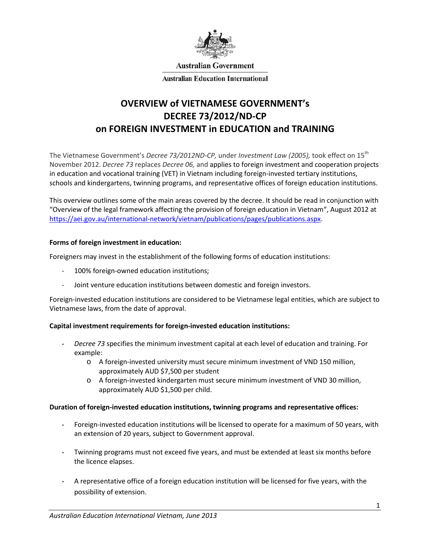

**Australian Government** 

**Australian Education International** 

# **OVERVIEW of VIETNAMESE GOVERNMENT's DECREE 73/2012/ND-CP on FOREIGN INVESTMENT in EDUCATION and TRAINING**

The Vietnamese Government's *Decree 73/2012ND-CP,* under *Investment Law (2005),* took effect on 15th November 2012. *Decree 73* replaces *Decree 06,* and applies to foreign investment and cooperation projects in education and vocational training (VET) in Vietnam including foreign-invested tertiary institutions, schools and kindergartens, twinning programs, and representative offices of foreign education institutions.

This overview outlines some of the main areas covered by the decree. It should be read in conjunction with "Overview of the legal framework affecting the provision of foreign education in Vietnam", August 2012 at [https://aei.gov.au/international-network/vietnam/publications/pages/publications.aspx.](https://aei.gov.au/international-network/vietnam/publications/pages/publications.aspx)

#### **Forms of foreign investment in education:**

Foreigners may invest in the establishment of the following forms of education institutions:

- 100% foreign-owned education institutions;
- Joint venture education institutions between domestic and foreign investors.

Foreign-invested education institutions are considered to be Vietnamese legal entities, which are subject to Vietnamese laws, from the date of approval.

## **Capital investment requirements for foreign-invested education institutions:**

- **-** *Decree 73* specifies the minimum investment capital at each level of education and training. For example:
	- o A foreign-invested university must secure minimum investment of VND 150 million, approximately AUD \$7,500 per student
	- o A foreign-invested kindergarten must secure minimum investment of VND 30 million, approximately AUD \$1,500 per child.

#### **Duration of foreign-invested education institutions, twinning programs and representative offices:**

- **-** Foreign-invested education institutions will be licensed to operate for a maximum of 50 years, with an extension of 20 years, subject to Government approval.
- **-** Twinning programs must not exceed five years, and must be extended at least six months before the licence elapses.
- **-** A representative office of a foreign education institution will be licensed for five years, with the possibility of extension.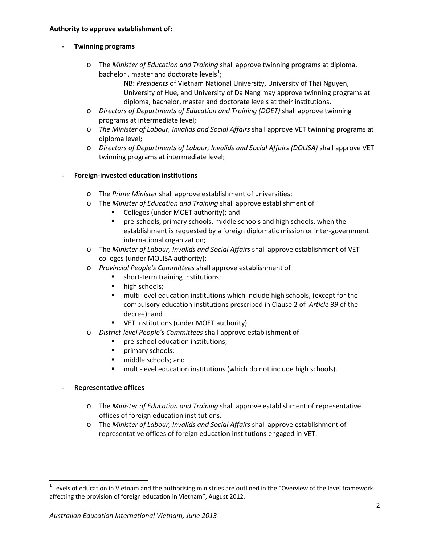# **- Twinning programs**

o The *Minister of Education and Training* shall approve twinning programs at diploma, bachelor, master and doctorate levels<sup>[1](#page-1-0)</sup>;

NB: *Presidents* of Vietnam National University, University of Thai Nguyen, University of Hue, and University of Da Nang may approve twinning programs at diploma, bachelor, master and doctorate levels at their institutions.

- o *Directors of Departments of Education and Training (DOET)* shall approve twinning programs at intermediate level;
- o *The Minister of Labour, Invalids and Social Affairs* shall approve VET twinning programs at diploma level;
- o *Directors of Departments of Labour, Invalids and Social Affairs (DOLISA)* shall approve VET twinning programs at intermediate level;

## **- Foreign-invested education institutions**

- o The *Prime Minister* shall approve establishment of universities;
- o The *Minister of Education and Training* shall approve establishment of
	- Colleges (under MOET authority); and
	- pre-schools, primary schools, middle schools and high schools, when the establishment is requested by a foreign diplomatic mission or inter-government international organization;
- o The *Minister of Labour, Invalids and Social Affairs* shall approve establishment of VET colleges (under MOLISA authority);
- o *Provincial People's Committees* shall approve establishment of
	- **short-term training institutions;**
	- high schools;
	- multi-level education institutions which include high schools, (except for the compulsory education institutions prescribed in Clause 2 of *Article 39* of the decree); and
	- VET institutions (under MOET authority).
- o *District-level People's Committees* shall approve establishment of
	- pre-school education institutions;
	- **Primary schools;**
	- **middle schools; and**
	- multi-level education institutions (which do not include high schools).

## **- Representative offices**

- o The *Minister of Education and Training* shall approve establishment of representative offices of foreign education institutions.
- o The *Minister of Labour, Invalids and Social Affairs* shall approve establishment of representative offices of foreign education institutions engaged in VET.

<span id="page-1-0"></span> $1$  Levels of education in Vietnam and the authorising ministries are outlined in the "Overview of the level framework affecting the provision of foreign education in Vietnam", August 2012.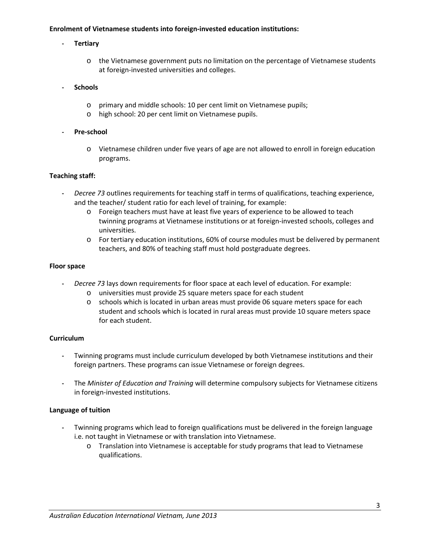## **Enrolment of Vietnamese students into foreign-invested education institutions:**

## **- Tertiary**

o the Vietnamese government puts no limitation on the percentage of Vietnamese students at foreign-invested universities and colleges.

## **- Schools**

- o primary and middle schools: 10 per cent limit on Vietnamese pupils;
- o high school: 20 per cent limit on Vietnamese pupils.

#### **- Pre-school**

o Vietnamese children under five years of age are not allowed to enroll in foreign education programs.

#### **Teaching staff:**

- **-** *Decree 73* outlines requirements for teaching staff in terms of qualifications, teaching experience, and the teacher/ student ratio for each level of training, for example:
	- o Foreign teachers must have at least five years of experience to be allowed to teach twinning programs at Vietnamese institutions or at foreign-invested schools, colleges and universities.
	- o For tertiary education institutions, 60% of course modules must be delivered by permanent teachers, and 80% of teaching staff must hold postgraduate degrees.

#### **Floor space**

- **-** *Decree 73* lays down requirements for floor space at each level of education. For example:
	- o universities must provide 25 square meters space for each student
	- o schools which is located in urban areas must provide 06 square meters space for each student and schools which is located in rural areas must provide 10 square meters space for each student.

## **Curriculum**

- **-** Twinning programs must include curriculum developed by both Vietnamese institutions and their foreign partners. These programs can issue Vietnamese or foreign degrees.
- **-** The *Minister of Education and Training* will determine compulsory subjects for Vietnamese citizens in foreign-invested institutions.

## **Language of tuition**

- **-** Twinning programs which lead to foreign qualifications must be delivered in the foreign language i.e. not taught in Vietnamese or with translation into Vietnamese.
	- o Translation into Vietnamese is acceptable for study programs that lead to Vietnamese qualifications.